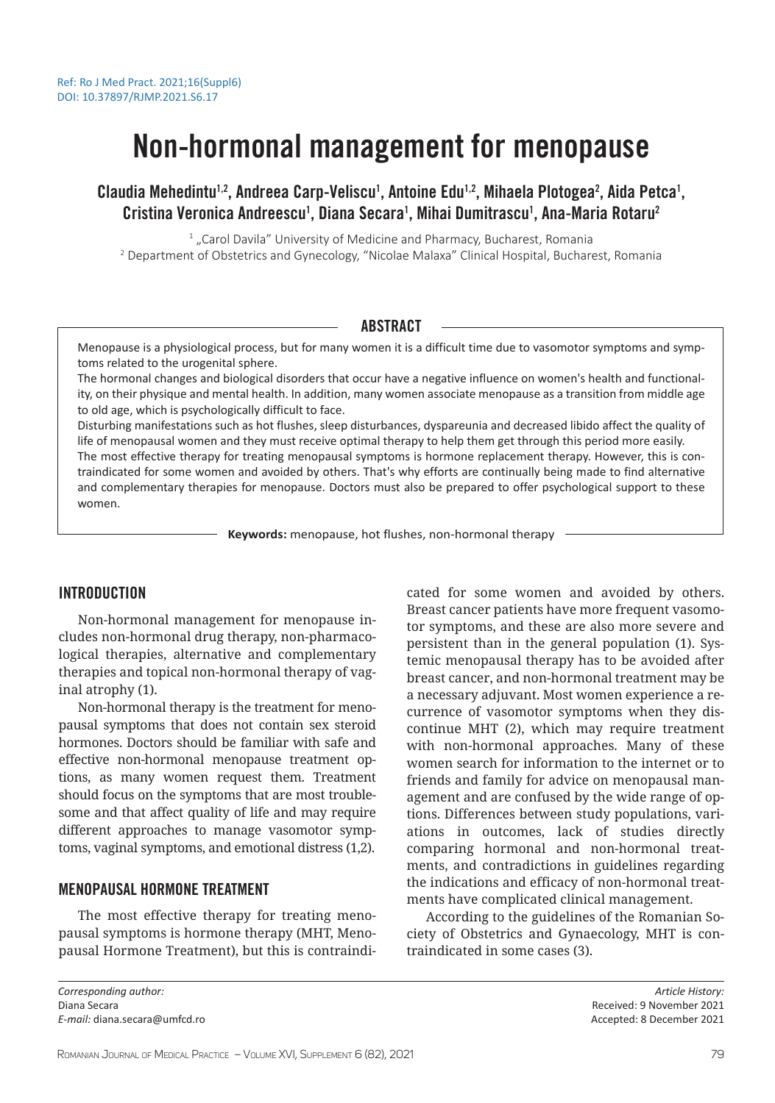# Non-hormonal management for menopause

Claudia Mehedintu<sup>1,2</sup>, Andreea Carp-Veliscu<sup>1</sup>, Antoine Edu<sup>1,2</sup>, Mihaela Plotogea<sup>2</sup>, Aida Petca<sup>1</sup>, Cristina Veronica Andreescu<sup>1</sup>, Diana Secara<sup>1</sup>, Mihai Dumitrascu<sup>1</sup>, Ana-Maria Rotaru<sup>2</sup>

 $<sup>1</sup>$  "Carol Davila" University of Medicine and Pharmacy, Bucharest, Romania</sup>

<sup>2</sup> Department of Obstetrics and Gynecology, "Nicolae Malaxa" Clinical Hospital, Bucharest, Romania

## ABSTRACT

Menopause is a physiological process, but for many women it is a difficult time due to vasomotor symptoms and symptoms related to the urogenital sphere.

The hormonal changes and biological disorders that occur have a negative influence on women's health and functionality, on their physique and mental health. In addition, many women associate menopause as a transition from middle age to old age, which is psychologically difficult to face.

Disturbing manifestations such as hot flushes, sleep disturbances, dyspareunia and decreased libido affect the quality of life of menopausal women and they must receive optimal therapy to help them get through this period more easily. The most effective therapy for treating menopausal symptoms is hormone replacement therapy. However, this is contraindicated for some women and avoided by others. That's why efforts are continually being made to find alternative and complementary therapies for menopause. Doctors must also be prepared to offer psychological support to these women.

**Keywords:** menopause, hot flushes, non-hormonal therapy

## INTRODUCTION

Non-hormonal management for menopause includes non-hormonal drug therapy, non-pharmacological therapies, alternative and complementary therapies and topical non-hormonal therapy of vaginal atrophy (1).

Non-hormonal therapy is the treatment for menopausal symptoms that does not contain sex steroid hormones. Doctors should be familiar with safe and effective non-hormonal menopause treatment options, as many women request them. Treatment should focus on the symptoms that are most troublesome and that affect quality of life and may require different approaches to manage vasomotor symptoms, vaginal symptoms, and emotional distress (1,2).

## MENOPAUSAL HORMONE TREATMENT

The most effective therapy for treating menopausal symptoms is hormone therapy (MHT, Menopausal Hormone Treatment), but this is contraindicated for some women and avoided by others. Breast cancer patients have more frequent vasomotor symptoms, and these are also more severe and persistent than in the general population (1). Systemic menopausal therapy has to be avoided after breast cancer, and non-hormonal treatment may be a necessary adjuvant. Most women experience a recurrence of vasomotor symptoms when they discontinue MHT (2), which may require treatment with non-hormonal approaches. Many of these women search for information to the internet or to friends and family for advice on menopausal management and are confused by the wide range of options. Differences between study populations, variations in outcomes, lack of studies directly comparing hormonal and non-hormonal treatments, and contradictions in guidelines regarding the indications and efficacy of non-hormonal treatments have complicated clinical management.

According to the guidelines of the Romanian Society of Obstetrics and Gynaecology, MHT is contraindicated in some cases (3).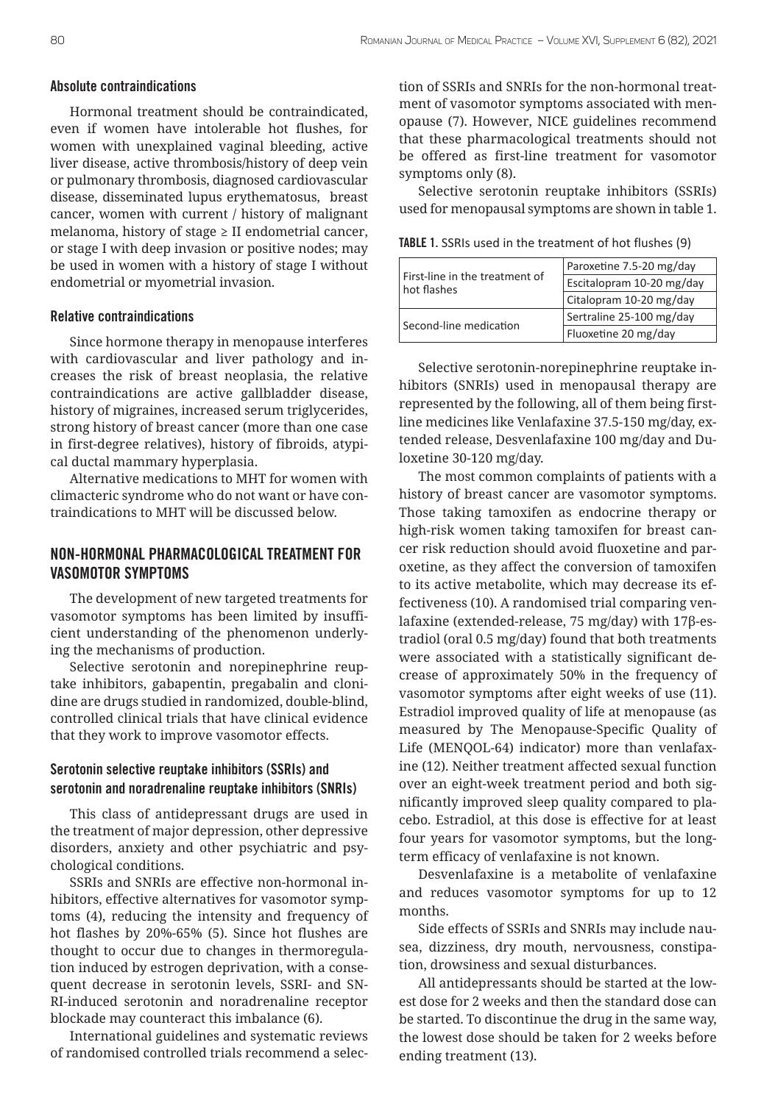#### Absolute contraindications

Hormonal treatment should be contraindicated, even if women have intolerable hot flushes, for women with unexplained vaginal bleeding, active liver disease, active thrombosis/history of deep vein or pulmonary thrombosis, diagnosed cardiovascular disease, disseminated lupus erythematosus, breast cancer, women with current / history of malignant melanoma, history of stage ≥ II endometrial cancer, or stage I with deep invasion or positive nodes; may be used in women with a history of stage I without endometrial or myometrial invasion.

## Relative contraindications

Since hormone therapy in menopause interferes with cardiovascular and liver pathology and increases the risk of breast neoplasia, the relative contraindications are active gallbladder disease, history of migraines, increased serum triglycerides, strong history of breast cancer (more than one case in first-degree relatives), history of fibroids, atypical ductal mammary hyperplasia.

Alternative medications to MHT for women with climacteric syndrome who do not want or have contraindications to MHT will be discussed below.

## NON-HORMONAL PHARMACOLOGICAL TREATMENT FOR VASOMOTOR SYMPTOMS

The development of new targeted treatments for vasomotor symptoms has been limited by insufficient understanding of the phenomenon underlying the mechanisms of production.

Selective serotonin and norepinephrine reuptake inhibitors, gabapentin, pregabalin and clonidine are drugs studied in randomized, double-blind, controlled clinical trials that have clinical evidence that they work to improve vasomotor effects.

## Serotonin selective reuptake inhibitors (SSRIs) and serotonin and noradrenaline reuptake inhibitors (SNRIs)

This class of antidepressant drugs are used in the treatment of major depression, other depressive disorders, anxiety and other psychiatric and psychological conditions.

SSRIs and SNRIs are effective non-hormonal inhibitors, effective alternatives for vasomotor symptoms (4), reducing the intensity and frequency of hot flashes by 20%-65% (5). Since hot flushes are thought to occur due to changes in thermoregulation induced by estrogen deprivation, with a consequent decrease in serotonin levels, SSRI- and SN-RI-induced serotonin and noradrenaline receptor blockade may counteract this imbalance (6).

International guidelines and systematic reviews of randomised controlled trials recommend a selection of SSRIs and SNRIs for the non-hormonal treatment of vasomotor symptoms associated with menopause (7). However, NICE guidelines recommend that these pharmacological treatments should not be offered as first-line treatment for vasomotor symptoms only (8).

Selective serotonin reuptake inhibitors (SSRIs) used for menopausal symptoms are shown in table 1.

TABLE 1. SSRIs used in the treatment of hot flushes (9)

| First-line in the treatment of<br>hot flashes | Paroxetine 7.5-20 mg/day  |
|-----------------------------------------------|---------------------------|
|                                               | Escitalopram 10-20 mg/day |
|                                               | Citalopram 10-20 mg/day   |
| Second-line medication                        | Sertraline 25-100 mg/day  |
|                                               | Fluoxetine 20 mg/day      |

Selective serotonin-norepinephrine reuptake inhibitors (SNRIs) used in menopausal therapy are represented by the following, all of them being firstline medicines like Venlafaxine 37.5-150 mg/day, extended release, Desvenlafaxine 100 mg/day and Duloxetine 30-120 mg/day.

The most common complaints of patients with a history of breast cancer are vasomotor symptoms. Those taking tamoxifen as endocrine therapy or high-risk women taking tamoxifen for breast cancer risk reduction should avoid fluoxetine and paroxetine, as they affect the conversion of tamoxifen to its active metabolite, which may decrease its effectiveness (10). A randomised trial comparing venlafaxine (extended-release, 75 mg/day) with 17β-estradiol (oral 0.5 mg/day) found that both treatments were associated with a statistically significant decrease of approximately 50% in the frequency of vasomotor symptoms after eight weeks of use (11). Estradiol improved quality of life at menopause (as measured by The Menopause-Specific Quality of Life (MENQOL-64) indicator) more than venlafaxine (12). Neither treatment affected sexual function over an eight-week treatment period and both significantly improved sleep quality compared to placebo. Estradiol, at this dose is effective for at least four years for vasomotor symptoms, but the longterm efficacy of venlafaxine is not known.

Desvenlafaxine is a metabolite of venlafaxine and reduces vasomotor symptoms for up to 12 months.

Side effects of SSRIs and SNRIs may include nausea, dizziness, dry mouth, nervousness, constipation, drowsiness and sexual disturbances.

All antidepressants should be started at the lowest dose for 2 weeks and then the standard dose can be started. To discontinue the drug in the same way, the lowest dose should be taken for 2 weeks before ending treatment (13).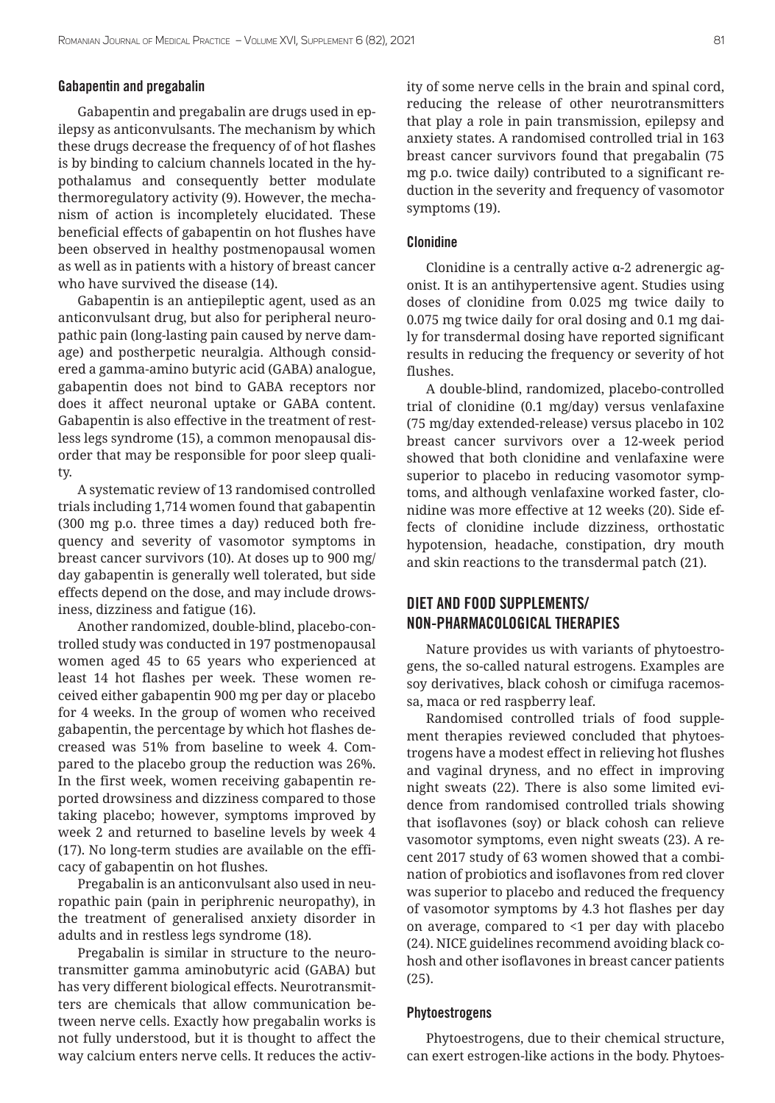#### Gabapentin and pregabalin

Gabapentin and pregabalin are drugs used in epilepsy as anticonvulsants. The mechanism by which these drugs decrease the frequency of of hot flashes is by binding to calcium channels located in the hypothalamus and consequently better modulate thermoregulatory activity (9). However, the mechanism of action is incompletely elucidated. These beneficial effects of gabapentin on hot flushes have been observed in healthy postmenopausal women as well as in patients with a history of breast cancer who have survived the disease (14).

Gabapentin is an antiepileptic agent, used as an anticonvulsant drug, but also for peripheral neuropathic pain (long-lasting pain caused by nerve damage) and postherpetic neuralgia. Although considered a gamma-amino butyric acid (GABA) analogue, gabapentin does not bind to GABA receptors nor does it affect neuronal uptake or GABA content. Gabapentin is also effective in the treatment of restless legs syndrome (15), a common menopausal disorder that may be responsible for poor sleep quality.

A systematic review of 13 randomised controlled trials including 1,714 women found that gabapentin (300 mg p.o. three times a day) reduced both frequency and severity of vasomotor symptoms in breast cancer survivors (10). At doses up to 900 mg/ day gabapentin is generally well tolerated, but side effects depend on the dose, and may include drowsiness, dizziness and fatigue (16).

Another randomized, double-blind, placebo-controlled study was conducted in 197 postmenopausal women aged 45 to 65 years who experienced at least 14 hot flashes per week. These women received either gabapentin 900 mg per day or placebo for 4 weeks. In the group of women who received gabapentin, the percentage by which hot flashes decreased was 51% from baseline to week 4. Compared to the placebo group the reduction was 26%. In the first week, women receiving gabapentin reported drowsiness and dizziness compared to those taking placebo; however, symptoms improved by week 2 and returned to baseline levels by week 4 (17). No long-term studies are available on the efficacy of gabapentin on hot flushes.

Pregabalin is an anticonvulsant also used in neuropathic pain (pain in periphrenic neuropathy), in the treatment of generalised anxiety disorder in adults and in restless legs syndrome (18).

Pregabalin is similar in structure to the neurotransmitter gamma aminobutyric acid (GABA) but has very different biological effects. Neurotransmitters are chemicals that allow communication between nerve cells. Exactly how pregabalin works is not fully understood, but it is thought to affect the way calcium enters nerve cells. It reduces the activity of some nerve cells in the brain and spinal cord, reducing the release of other neurotransmitters that play a role in pain transmission, epilepsy and anxiety states. A randomised controlled trial in 163 breast cancer survivors found that pregabalin (75 mg p.o. twice daily) contributed to a significant reduction in the severity and frequency of vasomotor symptoms (19).

## Clonidine

Clonidine is a centrally active α-2 adrenergic agonist. It is an antihypertensive agent. Studies using doses of clonidine from 0.025 mg twice daily to 0.075 mg twice daily for oral dosing and 0.1 mg daily for transdermal dosing have reported significant results in reducing the frequency or severity of hot flushes.

A double-blind, randomized, placebo-controlled trial of clonidine (0.1 mg/day) versus venlafaxine (75 mg/day extended-release) versus placebo in 102 breast cancer survivors over a 12-week period showed that both clonidine and venlafaxine were superior to placebo in reducing vasomotor symptoms, and although venlafaxine worked faster, clonidine was more effective at 12 weeks (20). Side effects of clonidine include dizziness, orthostatic hypotension, headache, constipation, dry mouth and skin reactions to the transdermal patch (21).

# DIET AND FOOD SUPPLEMENTS/ NON-PHARMACOLOGICAL THERAPIES

Nature provides us with variants of phytoestrogens, the so-called natural estrogens. Examples are soy derivatives, black cohosh or cimifuga racemossa, maca or red raspberry leaf.

Randomised controlled trials of food supplement therapies reviewed concluded that phytoestrogens have a modest effect in relieving hot flushes and vaginal dryness, and no effect in improving night sweats (22). There is also some limited evidence from randomised controlled trials showing that isoflavones (soy) or black cohosh can relieve vasomotor symptoms, even night sweats (23). A recent 2017 study of 63 women showed that a combination of probiotics and isoflavones from red clover was superior to placebo and reduced the frequency of vasomotor symptoms by 4.3 hot flashes per day on average, compared to <1 per day with placebo (24). NICE guidelines recommend avoiding black cohosh and other isoflavones in breast cancer patients (25).

## Phytoestrogens

Phytoestrogens, due to their chemical structure, can exert estrogen-like actions in the body. Phytoes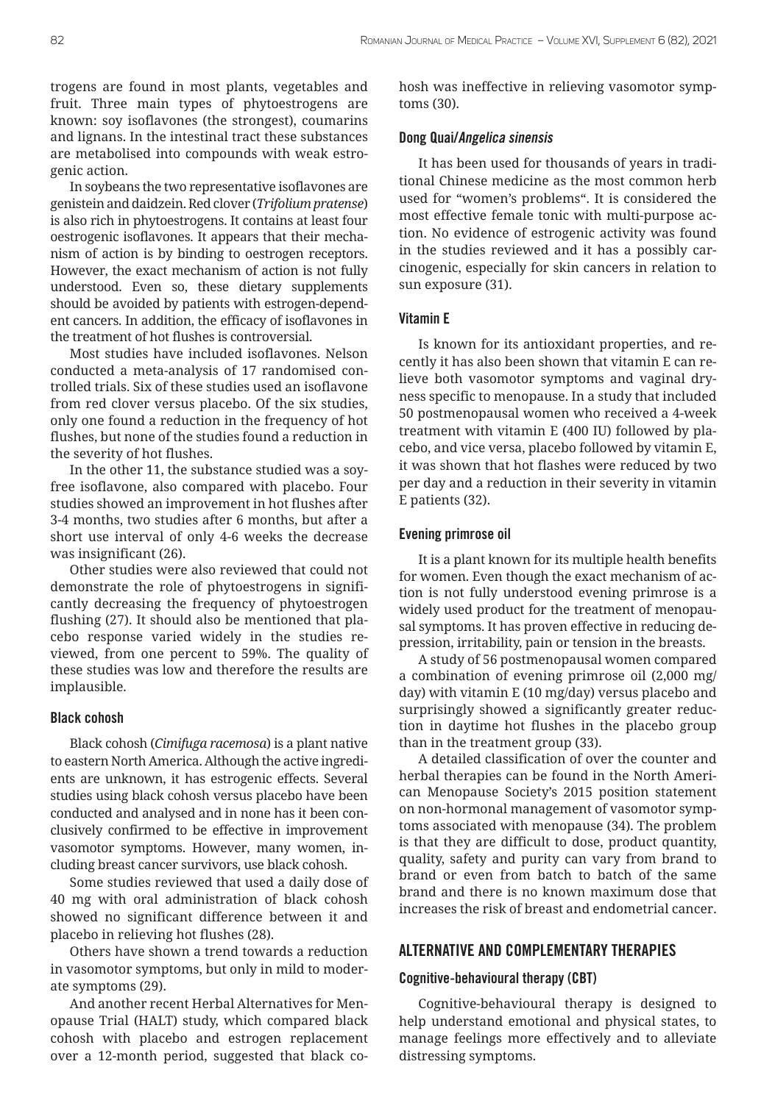trogens are found in most plants, vegetables and fruit. Three main types of phytoestrogens are known: soy isoflavones (the strongest), coumarins and lignans. In the intestinal tract these substances are metabolised into compounds with weak estrogenic action.

In soybeans the two representative isoflavones are genistein and daidzein. Red clover (*Trifolium pratense*) is also rich in phytoestrogens. It contains at least four oestrogenic isoflavones. It appears that their mechanism of action is by binding to oestrogen receptors. However, the exact mechanism of action is not fully understood. Even so, these dietary supplements should be avoided by patients with estrogen-dependent cancers. In addition, the efficacy of isoflavones in the treatment of hot flushes is controversial.

Most studies have included isoflavones. Nelson conducted a meta-analysis of 17 randomised controlled trials. Six of these studies used an isoflavone from red clover versus placebo. Of the six studies, only one found a reduction in the frequency of hot flushes, but none of the studies found a reduction in the severity of hot flushes.

In the other 11, the substance studied was a soyfree isoflavone, also compared with placebo. Four studies showed an improvement in hot flushes after 3-4 months, two studies after 6 months, but after a short use interval of only 4-6 weeks the decrease was insignificant (26).

Other studies were also reviewed that could not demonstrate the role of phytoestrogens in significantly decreasing the frequency of phytoestrogen flushing (27). It should also be mentioned that placebo response varied widely in the studies reviewed, from one percent to 59%. The quality of these studies was low and therefore the results are implausible.

#### Black cohosh

Black cohosh (*Cimifuga racemosa*) is a plant native to eastern North America. Although the active ingredients are unknown, it has estrogenic effects. Several studies using black cohosh versus placebo have been conducted and analysed and in none has it been conclusively confirmed to be effective in improvement vasomotor symptoms. However, many women, including breast cancer survivors, use black cohosh.

Some studies reviewed that used a daily dose of 40 mg with oral administration of black cohosh showed no significant difference between it and placebo in relieving hot flushes (28).

Others have shown a trend towards a reduction in vasomotor symptoms, but only in mild to moderate symptoms (29).

And another recent Herbal Alternatives for Menopause Trial (HALT) study, which compared black cohosh with placebo and estrogen replacement over a 12-month period, suggested that black cohosh was ineffective in relieving vasomotor symptoms (30).

#### Dong Quai/Angelica sinensis

It has been used for thousands of years in traditional Chinese medicine as the most common herb used for "women's problems". It is considered the most effective female tonic with multi-purpose action. No evidence of estrogenic activity was found in the studies reviewed and it has a possibly carcinogenic, especially for skin cancers in relation to sun exposure (31).

#### Vitamin E

Is known for its antioxidant properties, and recently it has also been shown that vitamin E can relieve both vasomotor symptoms and vaginal dryness specific to menopause. In a study that included 50 postmenopausal women who received a 4-week treatment with vitamin E (400 IU) followed by placebo, and vice versa, placebo followed by vitamin E, it was shown that hot flashes were reduced by two per day and a reduction in their severity in vitamin E patients (32).

#### Evening primrose oil

It is a plant known for its multiple health benefits for women. Even though the exact mechanism of action is not fully understood evening primrose is a widely used product for the treatment of menopausal symptoms. It has proven effective in reducing depression, irritability, pain or tension in the breasts.

A study of 56 postmenopausal women compared a combination of evening primrose oil (2,000 mg/ day) with vitamin E (10 mg/day) versus placebo and surprisingly showed a significantly greater reduction in daytime hot flushes in the placebo group than in the treatment group (33).

A detailed classification of over the counter and herbal therapies can be found in the North American Menopause Society's 2015 position statement on non-hormonal management of vasomotor symptoms associated with menopause (34). The problem is that they are difficult to dose, product quantity, quality, safety and purity can vary from brand to brand or even from batch to batch of the same brand and there is no known maximum dose that increases the risk of breast and endometrial cancer.

## ALTERNATIVE AND COMPLEMENTARY THERAPIES

#### Cognitive-behavioural therapy (CBT)

Cognitive-behavioural therapy is designed to help understand emotional and physical states, to manage feelings more effectively and to alleviate distressing symptoms.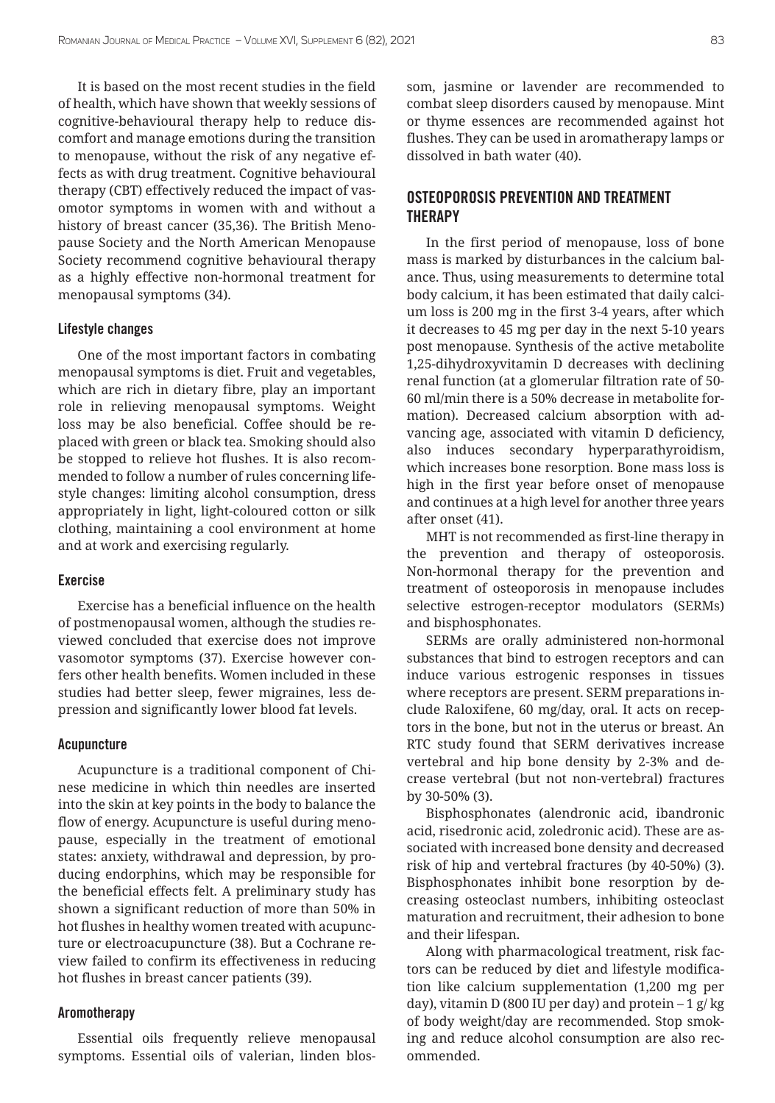It is based on the most recent studies in the field of health, which have shown that weekly sessions of cognitive-behavioural therapy help to reduce discomfort and manage emotions during the transition to menopause, without the risk of any negative effects as with drug treatment. Cognitive behavioural therapy (CBT) effectively reduced the impact of vasomotor symptoms in women with and without a history of breast cancer (35,36). The British Menopause Society and the North American Menopause Society recommend cognitive behavioural therapy as a highly effective non-hormonal treatment for menopausal symptoms (34).

#### Lifestyle changes

One of the most important factors in combating menopausal symptoms is diet. Fruit and vegetables, which are rich in dietary fibre, play an important role in relieving menopausal symptoms. Weight loss may be also beneficial. Coffee should be replaced with green or black tea. Smoking should also be stopped to relieve hot flushes. It is also recommended to follow a number of rules concerning lifestyle changes: limiting alcohol consumption, dress appropriately in light, light-coloured cotton or silk clothing, maintaining a cool environment at home and at work and exercising regularly.

#### Exercise

Exercise has a beneficial influence on the health of postmenopausal women, although the studies reviewed concluded that exercise does not improve vasomotor symptoms (37). Exercise however confers other health benefits. Women included in these studies had better sleep, fewer migraines, less depression and significantly lower blood fat levels.

#### Acupuncture

Acupuncture is a traditional component of Chinese medicine in which thin needles are inserted into the skin at key points in the body to balance the flow of energy. Acupuncture is useful during menopause, especially in the treatment of emotional states: anxiety, withdrawal and depression, by producing endorphins, which may be responsible for the beneficial effects felt. A preliminary study has shown a significant reduction of more than 50% in hot flushes in healthy women treated with acupuncture or electroacupuncture (38). But a Cochrane review failed to confirm its effectiveness in reducing hot flushes in breast cancer patients (39).

#### Aromotherapy

Essential oils frequently relieve menopausal symptoms. Essential oils of valerian, linden blossom, jasmine or lavender are recommended to combat sleep disorders caused by menopause. Mint or thyme essences are recommended against hot flushes. They can be used in aromatherapy lamps or dissolved in bath water (40).

# OSTEOPOROSIS PREVENTION AND TREATMENT **THERAPY**

In the first period of menopause, loss of bone mass is marked by disturbances in the calcium balance. Thus, using measurements to determine total body calcium, it has been estimated that daily calcium loss is 200 mg in the first 3-4 years, after which it decreases to 45 mg per day in the next 5-10 years post menopause. Synthesis of the active metabolite 1,25-dihydroxyvitamin D decreases with declining renal function (at a glomerular filtration rate of 50- 60 ml/min there is a 50% decrease in metabolite formation). Decreased calcium absorption with advancing age, associated with vitamin D deficiency, also induces secondary hyperparathyroidism, which increases bone resorption. Bone mass loss is high in the first year before onset of menopause and continues at a high level for another three years after onset (41).

MHT is not recommended as first-line therapy in the prevention and therapy of osteoporosis. Non-hormonal therapy for the prevention and treatment of osteoporosis in menopause includes selective estrogen-receptor modulators (SERMs) and bisphosphonates.

SERMs are orally administered non-hormonal substances that bind to estrogen receptors and can induce various estrogenic responses in tissues where receptors are present. SERM preparations include Raloxifene, 60 mg/day, oral. It acts on receptors in the bone, but not in the uterus or breast. An RTC study found that SERM derivatives increase vertebral and hip bone density by 2-3% and decrease vertebral (but not non-vertebral) fractures by 30-50% (3).

Bisphosphonates (alendronic acid, ibandronic acid, risedronic acid, zoledronic acid). These are associated with increased bone density and decreased risk of hip and vertebral fractures (by 40-50%) (3). Bisphosphonates inhibit bone resorption by decreasing osteoclast numbers, inhibiting osteoclast maturation and recruitment, their adhesion to bone and their lifespan.

Along with pharmacological treatment, risk factors can be reduced by diet and lifestyle modification like calcium supplementation (1,200 mg per day), vitamin D (800 IU per day) and protein  $-1$  g/kg of body weight/day are recommended. Stop smoking and reduce alcohol consumption are also recommended.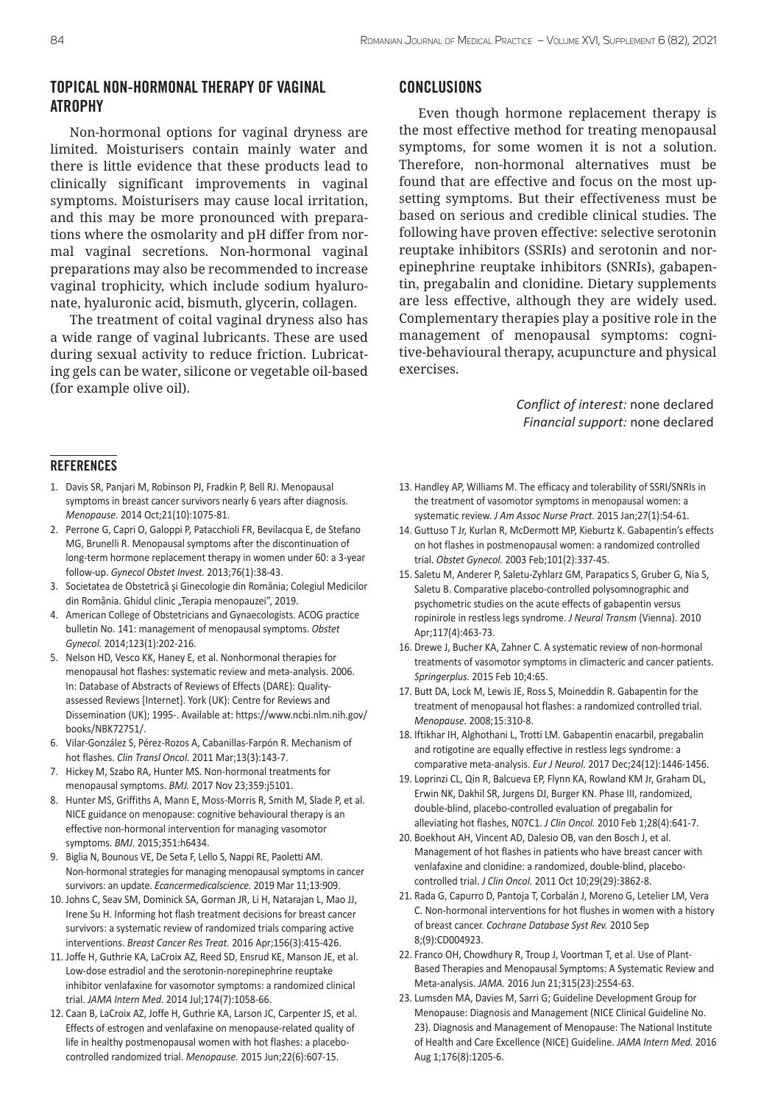## TOPICAL NON-HORMONAL THERAPY OF VAGINAL ATROPHY

Non-hormonal options for vaginal dryness are limited. Moisturisers contain mainly water and there is little evidence that these products lead to clinically significant improvements in vaginal symptoms. Moisturisers may cause local irritation, and this may be more pronounced with preparations where the osmolarity and pH differ from normal vaginal secretions. Non-hormonal vaginal preparations may also be recommended to increase vaginal trophicity, which include sodium hyaluronate, hyaluronic acid, bismuth, glycerin, collagen.

The treatment of coital vaginal dryness also has a wide range of vaginal lubricants. These are used during sexual activity to reduce friction. Lubricating gels can be water, silicone or vegetable oil-based (for example olive oil).

## **CONCLUSIONS**

Even though hormone replacement therapy is the most effective method for treating menopausal symptoms, for some women it is not a solution. Therefore, non-hormonal alternatives must be found that are effective and focus on the most upsetting symptoms. But their effectiveness must be based on serious and credible clinical studies. The following have proven effective: selective serotonin reuptake inhibitors (SSRIs) and serotonin and norepinephrine reuptake inhibitors (SNRIs), gabapentin, pregabalin and clonidine. Dietary supplements are less effective, although they are widely used. Complementary therapies play a positive role in the management of menopausal symptoms: cognitive-behavioural therapy, acupuncture and physical exercises.

> *Conflict of interest:* none declared *Financial support:* none declared

#### **REFERENCES**

- 1. Davis SR, Panjari M, Robinson PJ, Fradkin P, Bell RJ. Menopausal symptoms in breast cancer survivors nearly 6 years after diagnosis. *Menopause*. 2014 Oct;21(10):1075-81.
- 2. Perrone G, Capri O, Galoppi P, Patacchioli FR, Bevilacqua E, de Stefano MG, Brunelli R. Menopausal symptoms after the discontinuation of long-term hormone replacement therapy in women under 60: a 3-year follow-up. *Gynecol Obstet Invest.* 2013;76(1):38-43.
- 3. Societatea de Obstetrică şi Ginecologie din România; Colegiul Medicilor din România. Ghidul clinic "Terapia menopauzei", 2019.
- 4. American College of Obstetricians and Gynaecologists. ACOG practice bulletin No. 141: management of menopausal symptoms. *Obstet Gynecol.* 2014;123(1):202-216.
- 5. Nelson HD, Vesco KK, Haney E, et al. Nonhormonal therapies for menopausal hot flashes: systematic review and meta-analysis. 2006. In: Database of Abstracts of Reviews of Effects (DARE): Qualityassessed Reviews [Internet]. York (UK): Centre for Reviews and Dissemination (UK); 1995-. Available at: https://www.ncbi.nlm.nih.gov/ books/NBK72751/.
- 6. Vilar-González S, Pérez-Rozos A, Cabanillas-Farpón R. Mechanism of hot flashes. *Clin Transl Oncol.* 2011 Mar;13(3):143-7.
- 7. Hickey M, Szabo RA, Hunter MS. Non-hormonal treatments for menopausal symptoms. *BMJ.* 2017 Nov 23;359:j5101.
- 8. Hunter MS, Griffiths A, Mann E, Moss-Morris R, Smith M, Slade P, et al. NICE guidance on menopause: cognitive behavioural therapy is an effective non-hormonal intervention for managing vasomotor symptoms. *BMJ.* 2015;351:h6434.
- 9. Biglia N, Bounous VE, De Seta F, Lello S, Nappi RE, Paoletti AM. Non-hormonal strategies for managing menopausal symptoms in cancer survivors: an update. *Ecancermedicalscience.* 2019 Mar 11;13:909.
- 10. Johns C, Seav SM, Dominick SA, Gorman JR, Li H, Natarajan L, Mao JJ, Irene Su H. Informing hot flash treatment decisions for breast cancer survivors: a systematic review of randomized trials comparing active interventions. *Breast Cancer Res Treat.* 2016 Apr;156(3):415-426.
- 11. Joffe H, Guthrie KA, LaCroix AZ, Reed SD, Ensrud KE, Manson JE, et al. Low-dose estradiol and the serotonin-norepinephrine reuptake inhibitor venlafaxine for vasomotor symptoms: a randomized clinical trial. *JAMA Intern Med.* 2014 Jul;174(7):1058-66.
- 12. Caan B, LaCroix AZ, Joffe H, Guthrie KA, Larson JC, Carpenter JS, et al. Effects of estrogen and venlafaxine on menopause-related quality of life in healthy postmenopausal women with hot flashes: a placebocontrolled randomized trial. *Menopause.* 2015 Jun;22(6):607-15.
- 13. Handley AP, Williams M. The efficacy and tolerability of SSRI/SNRIs in the treatment of vasomotor symptoms in menopausal women: a systematic review. *J Am Assoc Nurse Pract.* 2015 Jan;27(1):54-61.
- 14. Guttuso T Jr, Kurlan R, McDermott MP, Kieburtz K. Gabapentin's effects on hot flashes in postmenopausal women: a randomized controlled trial. *Obstet Gynecol.* 2003 Feb;101(2):337-45.
- 15. Saletu M, Anderer P, Saletu-Zyhlarz GM, Parapatics S, Gruber G, Nia S, Saletu B. Comparative placebo-controlled polysomnographic and psychometric studies on the acute effects of gabapentin versus ropinirole in restless legs syndrome. *J Neural Transm* (Vienna). 2010 Apr;117(4):463-73.
- 16. Drewe J, Bucher KA, Zahner C. A systematic review of non-hormonal treatments of vasomotor symptoms in climacteric and cancer patients. *Springerplus.* 2015 Feb 10;4:65.
- 17. Butt DA, Lock M, Lewis JE, Ross S, Moineddin R. Gabapentin for the treatment of menopausal hot flashes: a randomized controlled trial. *Menopause.* 2008;15:310-8.
- 18. Iftikhar IH, Alghothani L, Trotti LM. Gabapentin enacarbil, pregabalin and rotigotine are equally effective in restless legs syndrome: a comparative meta-analysis. *Eur J Neurol.* 2017 Dec;24(12):1446-1456.
- 19. Loprinzi CL, Qin R, Balcueva EP, Flynn KA, Rowland KM Jr, Graham DL, Erwin NK, Dakhil SR, Jurgens DJ, Burger KN. Phase III, randomized, double-blind, placebo-controlled evaluation of pregabalin for alleviating hot flashes, N07C1. *J Clin Oncol.* 2010 Feb 1;28(4):641-7.
- 20. Boekhout AH, Vincent AD, Dalesio OB, van den Bosch J, et al. Management of hot flashes in patients who have breast cancer with venlafaxine and clonidine: a randomized, double-blind, placebocontrolled trial. *J Clin Oncol.* 2011 Oct 10;29(29):3862-8.
- 21. Rada G, Capurro D, Pantoja T, Corbalán J, Moreno G, Letelier LM, Vera C. Non-hormonal interventions for hot flushes in women with a history of breast cancer. *Cochrane Database Syst Rev.* 2010 Sep 8;(9):CD004923.
- 22. Franco OH, Chowdhury R, Troup J, Voortman T, et al. Use of Plant-Based Therapies and Menopausal Symptoms: A Systematic Review and Meta-analysis. *JAMA.* 2016 Jun 21;315(23):2554-63.
- 23. Lumsden MA, Davies M, Sarri G; Guideline Development Group for Menopause: Diagnosis and Management (NICE Clinical Guideline No. 23). Diagnosis and Management of Menopause: The National Institute of Health and Care Excellence (NICE) Guideline. *JAMA Intern Med.* 2016 Aug 1;176(8):1205-6.